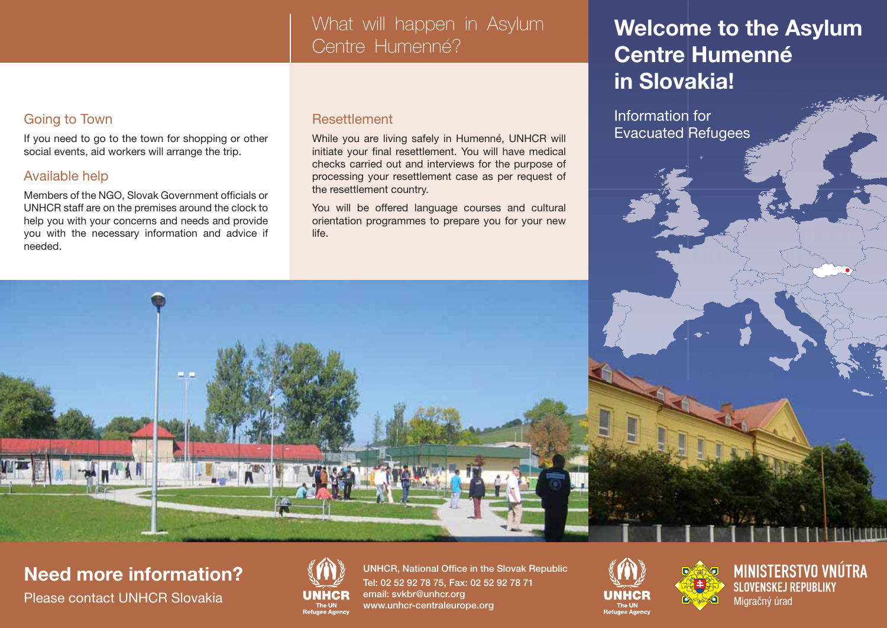## What will happen in Asylum Centre Humenné?

### Going to Town

If you need to go to the town for shopping or other social events, aid workers will arrange the trip.

### Available help

Members of the NGO, Slovak Government officials or UNHCR staff are on the premises around the clock to help you with your concerns and needs and provide you with the necessary information and advice if needed.

### Resettlement

While you are living safely in Humenné, UNHCR will initiate your final resettlement. You will have medical checks carried out and interviews for the purpose of processing your resettlement case as per request of the resettlement country.

You will be offered language courses and cultural orientation programmes to prepare you for your new life.

# **Welcome to the Asylum Centre Humenné in Slovakia!**

Information for Evacuated Refugees



**Need more information?**



UNHCR, National Office in the Slovak Republic Tel: 02 52 92 78 75, Fax: 02 52 92 78 71 email: svkbr@unhcr.org www.unhcr-centraleurope.org Please contact UNHCR Slovakia **UNHCR** email: sykbr@unhcr.org **UNHCR**<br>The UNACADE The UNACADE The UNACADE The UNACADE The UNACADE The UNACADE The UNACADE The UNACADE The UNACADE Migračný úrad





**MINISTERSTVO VNÚTRA SLOVENSKEJ REPUBLIKY**